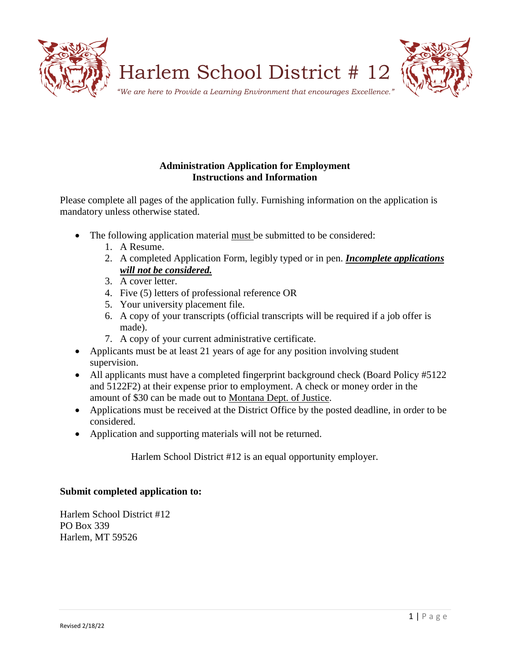

# **Administration Application for Employment Instructions and Information**

Please complete all pages of the application fully. Furnishing information on the application is mandatory unless otherwise stated.

- The following application material must be submitted to be considered:
	- 1. A Resume.
	- 2. A completed Application Form, legibly typed or in pen. *Incomplete applications will not be considered.*
	- 3. A cover letter.
	- 4. Five (5) letters of professional reference OR
	- 5. Your university placement file.
	- 6. A copy of your transcripts (official transcripts will be required if a job offer is made).
	- 7. A copy of your current administrative certificate.
- Applicants must be at least 21 years of age for any position involving student supervision.
- All applicants must have a completed fingerprint background check (Board Policy #5122) and 5122F2) at their expense prior to employment. A check or money order in the amount of \$30 can be made out to Montana Dept. of Justice.
- Applications must be received at the District Office by the posted deadline, in order to be considered.
- Application and supporting materials will not be returned.

Harlem School District #12 is an equal opportunity employer.

# **Submit completed application to:**

Harlem School District #12 PO Box 339 Harlem, MT 59526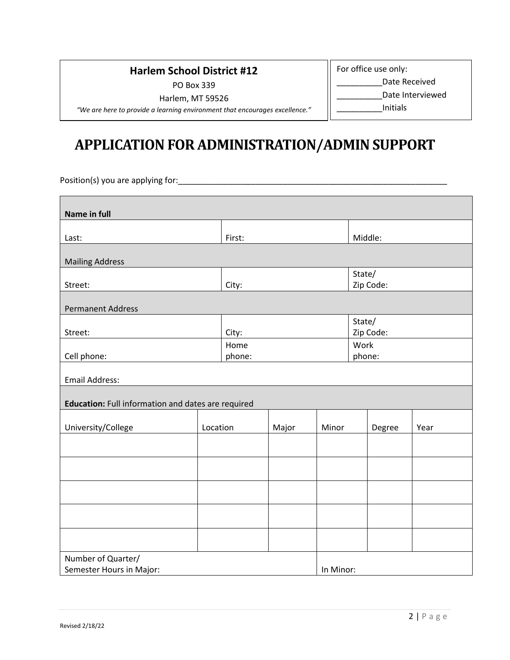# **Harlem School District #12**

PO Box 339

For office use only:

\_\_\_\_\_\_\_\_\_\_Date Received

Harlem, MT 59526

*"We are here to provide a learning environment that encourages excellence."*

# Date Interviewed

\_\_\_\_\_\_\_\_\_\_Initials

# **APPLICATION FOR ADMINISTRATION/ADMIN SUPPORT**

Position(s) you are applying for:\_\_\_\_\_\_\_\_\_\_\_\_\_\_\_\_\_\_\_\_\_\_\_\_\_\_\_\_\_\_\_\_\_\_\_\_\_\_\_\_\_\_\_\_\_\_\_\_\_\_\_\_\_\_\_\_\_\_\_

| Name in full                                       |          |       |        |        |           |           |        |  |  |
|----------------------------------------------------|----------|-------|--------|--------|-----------|-----------|--------|--|--|
|                                                    |          |       |        |        |           |           |        |  |  |
| Last:                                              |          |       | First: |        |           | Middle:   |        |  |  |
| <b>Mailing Address</b>                             |          |       |        |        |           |           |        |  |  |
|                                                    |          |       |        | State/ |           |           |        |  |  |
| Street:                                            |          |       | City:  |        |           | Zip Code: |        |  |  |
| <b>Permanent Address</b>                           |          |       |        |        |           |           |        |  |  |
|                                                    |          |       |        | State/ |           |           |        |  |  |
| Street:                                            |          | City: |        |        |           | Zip Code: |        |  |  |
|                                                    |          | Home  |        |        | Work      |           |        |  |  |
| Cell phone:                                        |          |       |        | phone: |           |           | phone: |  |  |
| <b>Email Address:</b>                              |          |       |        |        |           |           |        |  |  |
| Education: Full information and dates are required |          |       |        |        |           |           |        |  |  |
|                                                    |          |       |        |        |           |           |        |  |  |
| University/College                                 | Location |       | Major  | Minor  |           | Degree    | Year   |  |  |
|                                                    |          |       |        |        |           |           |        |  |  |
|                                                    |          |       |        |        |           |           |        |  |  |
|                                                    |          |       |        |        |           |           |        |  |  |
|                                                    |          |       |        |        |           |           |        |  |  |
|                                                    |          |       |        |        |           |           |        |  |  |
|                                                    |          |       |        |        |           |           |        |  |  |
|                                                    |          |       |        |        |           |           |        |  |  |
| Number of Quarter/                                 |          |       |        |        |           |           |        |  |  |
| Semester Hours in Major:                           |          |       |        |        | In Minor: |           |        |  |  |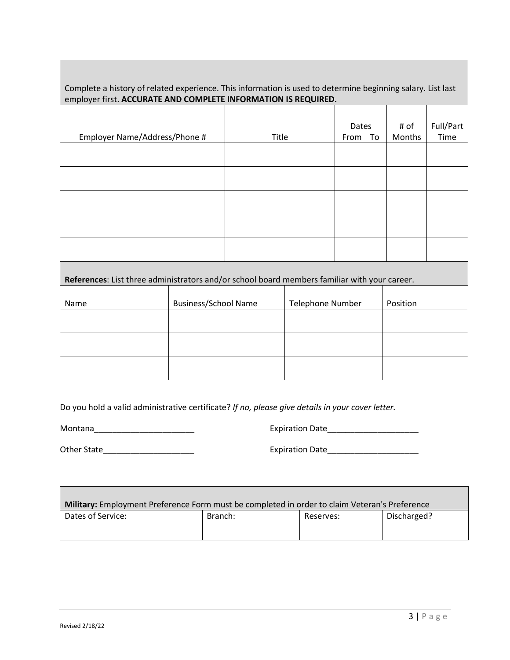Complete a history of related experience. This information is used to determine beginning salary. List last employer first. **ACCURATE AND COMPLETE INFORMATION IS REQUIRED.**

| Employer Name/Address/Phone #                                                                |                             | Title |                  | Dates<br>From To | # of<br>Months | Full/Part<br>Time |  |  |
|----------------------------------------------------------------------------------------------|-----------------------------|-------|------------------|------------------|----------------|-------------------|--|--|
|                                                                                              |                             |       |                  |                  |                |                   |  |  |
|                                                                                              |                             |       |                  |                  |                |                   |  |  |
|                                                                                              |                             |       |                  |                  |                |                   |  |  |
|                                                                                              |                             |       |                  |                  |                |                   |  |  |
|                                                                                              |                             |       |                  |                  |                |                   |  |  |
| References: List three administrators and/or school board members familiar with your career. |                             |       |                  |                  |                |                   |  |  |
| Name                                                                                         | <b>Business/School Name</b> |       | Telephone Number |                  | Position       |                   |  |  |
|                                                                                              |                             |       |                  |                  |                |                   |  |  |
|                                                                                              |                             |       |                  |                  |                |                   |  |  |
|                                                                                              |                             |       |                  |                  |                |                   |  |  |

Do you hold a valid administrative certificate? *If no, please give details in your cover letter.*

Montana\_\_\_\_\_\_\_\_\_\_\_\_\_\_\_\_\_\_\_\_\_\_ Expiration Date\_\_\_\_\_\_\_\_\_\_\_\_\_\_\_\_\_\_\_\_

Other State\_\_\_\_\_\_\_\_\_\_\_\_\_\_\_\_\_\_\_\_ Expiration Date\_\_\_\_\_\_\_\_\_\_\_\_\_\_\_\_\_\_\_\_

| Military: Employment Preference Form must be completed in order to claim Veteran's Preference |         |           |             |  |  |  |  |
|-----------------------------------------------------------------------------------------------|---------|-----------|-------------|--|--|--|--|
| Dates of Service:                                                                             | Branch: | Reserves: | Discharged? |  |  |  |  |
|                                                                                               |         |           |             |  |  |  |  |

**The Common**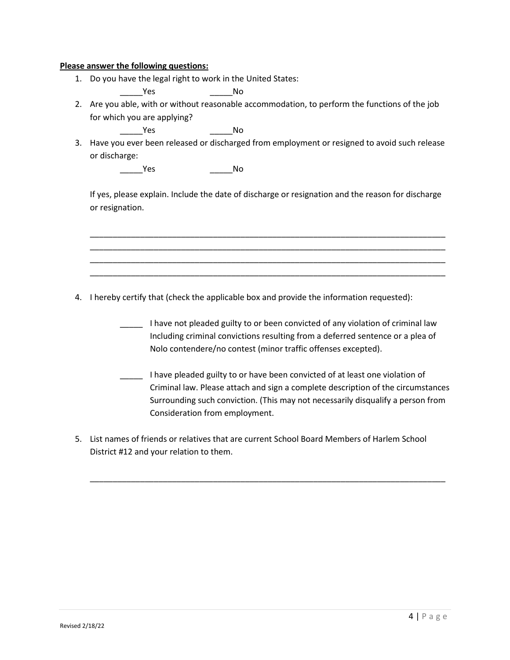#### **Please answer the following questions:**

1. Do you have the legal right to work in the United States:

\_\_\_\_\_Yes \_\_\_\_\_No

2. Are you able, with or without reasonable accommodation, to perform the functions of the job for which you are applying?

\_\_\_\_\_Yes \_\_\_\_\_No

3. Have you ever been released or discharged from employment or resigned to avoid such release or discharge:

\_\_\_\_\_\_\_\_\_Yes \_\_\_\_\_\_\_\_\_\_\_\_\_\_\_\_\_\_\_\_No

If yes, please explain. Include the date of discharge or resignation and the reason for discharge or resignation.

\_\_\_\_\_\_\_\_\_\_\_\_\_\_\_\_\_\_\_\_\_\_\_\_\_\_\_\_\_\_\_\_\_\_\_\_\_\_\_\_\_\_\_\_\_\_\_\_\_\_\_\_\_\_\_\_\_\_\_\_\_\_\_\_\_\_\_\_\_\_\_\_\_\_\_\_\_\_ \_\_\_\_\_\_\_\_\_\_\_\_\_\_\_\_\_\_\_\_\_\_\_\_\_\_\_\_\_\_\_\_\_\_\_\_\_\_\_\_\_\_\_\_\_\_\_\_\_\_\_\_\_\_\_\_\_\_\_\_\_\_\_\_\_\_\_\_\_\_\_\_\_\_\_\_\_\_ \_\_\_\_\_\_\_\_\_\_\_\_\_\_\_\_\_\_\_\_\_\_\_\_\_\_\_\_\_\_\_\_\_\_\_\_\_\_\_\_\_\_\_\_\_\_\_\_\_\_\_\_\_\_\_\_\_\_\_\_\_\_\_\_\_\_\_\_\_\_\_\_\_\_\_\_\_\_ \_\_\_\_\_\_\_\_\_\_\_\_\_\_\_\_\_\_\_\_\_\_\_\_\_\_\_\_\_\_\_\_\_\_\_\_\_\_\_\_\_\_\_\_\_\_\_\_\_\_\_\_\_\_\_\_\_\_\_\_\_\_\_\_\_\_\_\_\_\_\_\_\_\_\_\_\_\_

4. I hereby certify that (check the applicable box and provide the information requested):

- \_\_\_\_\_ I have not pleaded guilty to or been convicted of any violation of criminal law Including criminal convictions resulting from a deferred sentence or a plea of Nolo contendere/no contest (minor traffic offenses excepted).
- \_\_\_\_\_ I have pleaded guilty to or have been convicted of at least one violation of Criminal law. Please attach and sign a complete description of the circumstances Surrounding such conviction. (This may not necessarily disqualify a person from Consideration from employment.
- 5. List names of friends or relatives that are current School Board Members of Harlem School District #12 and your relation to them.

\_\_\_\_\_\_\_\_\_\_\_\_\_\_\_\_\_\_\_\_\_\_\_\_\_\_\_\_\_\_\_\_\_\_\_\_\_\_\_\_\_\_\_\_\_\_\_\_\_\_\_\_\_\_\_\_\_\_\_\_\_\_\_\_\_\_\_\_\_\_\_\_\_\_\_\_\_\_